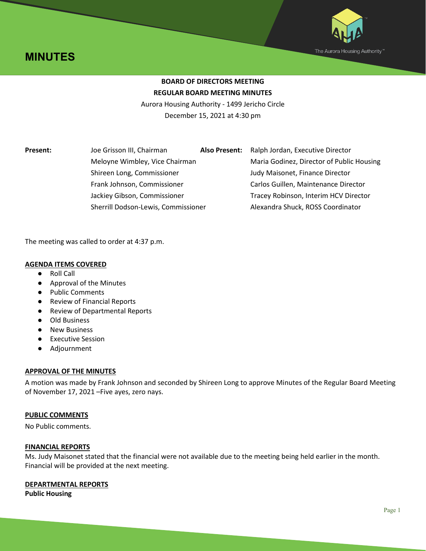



# **BOARD OF DIRECTORS MEETING REGULAR BOARD MEETING MINUTES**

Aurora Housing Authority - 1499 Jericho Circle December 15, 2021 at 4:30 pm

**Present:** Joe Grisson III, Chairman **Also Present:** Ralph Jordan, Executive Director Meloyne Wimbley, Vice Chairman Maria Godinez, Director of Public Housing Shireen Long, Commissioner Judy Maisonet, Finance Director Frank Johnson, Commissioner Carlos Guillen, Maintenance Director Jackiey Gibson, Commissioner Tracey Robinson, Interim HCV Director Sherrill Dodson-Lewis, Commissioner Alexandra Shuck, ROSS Coordinator

The meeting was called to order at 4:37 p.m.

# **AGENDA ITEMS COVERED**

- Roll Call
- Approval of the Minutes
- Public Comments
- Review of Financial Reports
- Review of Departmental Reports
- Old Business
- New Business
- Executive Session
- Adjournment

## **APPROVAL OF THE MINUTES**

A motion was made by Frank Johnson and seconded by Shireen Long to approve Minutes of the Regular Board Meeting of November 17, 2021 –Five ayes, zero nays.

## **PUBLIC COMMENTS**

No Public comments.

## **FINANCIAL REPORTS**

Ms. Judy Maisonet stated that the financial were not available due to the meeting being held earlier in the month. Financial will be provided at the next meeting.

## **DEPARTMENTAL REPORTS**

**Public Housing**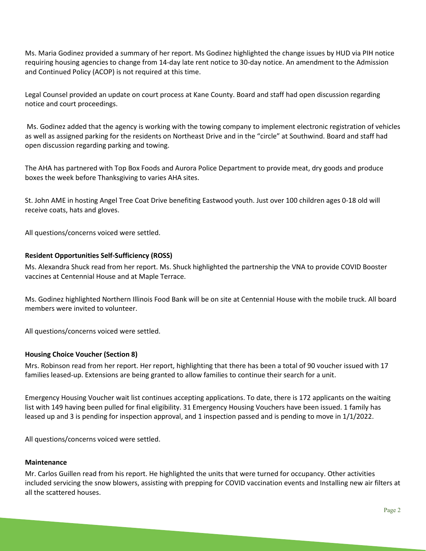Ms. Maria Godinez provided a summary of her report. Ms Godinez highlighted the change issues by HUD via PIH notice requiring housing agencies to change from 14-day late rent notice to 30-day notice. An amendment to the Admission and Continued Policy (ACOP) is not required at this time.

Legal Counsel provided an update on court process at Kane County. Board and staff had open discussion regarding notice and court proceedings.

Ms. Godinez added that the agency is working with the towing company to implement electronic registration of vehicles as well as assigned parking for the residents on Northeast Drive and in the "circle" at Southwind. Board and staff had open discussion regarding parking and towing.

The AHA has partnered with Top Box Foods and Aurora Police Department to provide meat, dry goods and produce boxes the week before Thanksgiving to varies AHA sites.

St. John AME in hosting Angel Tree Coat Drive benefiting Eastwood youth. Just over 100 children ages 0-18 old will receive coats, hats and gloves.

All questions/concerns voiced were settled.

# **Resident Opportunities Self-Sufficiency (ROSS)**

Ms. Alexandra Shuck read from her report. Ms. Shuck highlighted the partnership the VNA to provide COVID Booster vaccines at Centennial House and at Maple Terrace.

Ms. Godinez highlighted Northern Illinois Food Bank will be on site at Centennial House with the mobile truck. All board members were invited to volunteer.

All questions/concerns voiced were settled.

## **Housing Choice Voucher (Section 8)**

Mrs. Robinson read from her report. Her report, highlighting that there has been a total of 90 voucher issued with 17 families leased-up. Extensions are being granted to allow families to continue their search for a unit.

Emergency Housing Voucher wait list continues accepting applications. To date, there is 172 applicants on the waiting list with 149 having been pulled for final eligibility. 31 Emergency Housing Vouchers have been issued. 1 family has leased up and 3 is pending for inspection approval, and 1 inspection passed and is pending to move in 1/1/2022.

All questions/concerns voiced were settled.

## **Maintenance**

Mr. Carlos Guillen read from his report. He highlighted the units that were turned for occupancy. Other activities included servicing the snow blowers, assisting with prepping for COVID vaccination events and Installing new air filters at all the scattered houses.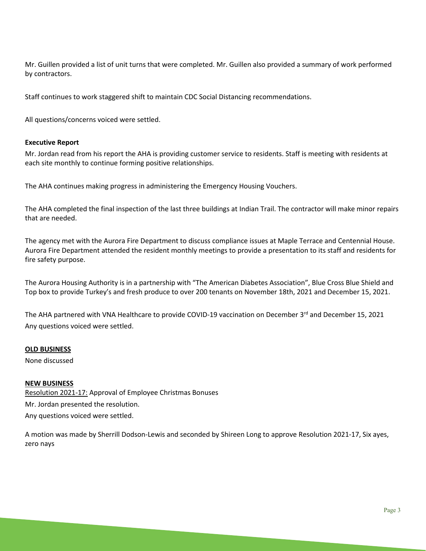Mr. Guillen provided a list of unit turns that were completed. Mr. Guillen also provided a summary of work performed by contractors.

Staff continues to work staggered shift to maintain CDC Social Distancing recommendations.

All questions/concerns voiced were settled.

# **Executive Report**

Mr. Jordan read from his report the AHA is providing customer service to residents. Staff is meeting with residents at each site monthly to continue forming positive relationships.

The AHA continues making progress in administering the Emergency Housing Vouchers.

The AHA completed the final inspection of the last three buildings at Indian Trail. The contractor will make minor repairs that are needed.

The agency met with the Aurora Fire Department to discuss compliance issues at Maple Terrace and Centennial House. Aurora Fire Department attended the resident monthly meetings to provide a presentation to its staff and residents for fire safety purpose.

The Aurora Housing Authority is in a partnership with "The American Diabetes Association", Blue Cross Blue Shield and Top box to provide Turkey's and fresh produce to over 200 tenants on November 18th, 2021 and December 15, 2021.

The AHA partnered with VNA Healthcare to provide COVID-19 vaccination on December 3rd and December 15, 2021 Any questions voiced were settled.

## **OLD BUSINESS**

None discussed

## **NEW BUSINESS**

Resolution 2021-17: Approval of Employee Christmas Bonuses Mr. Jordan presented the resolution. Any questions voiced were settled.

A motion was made by Sherrill Dodson-Lewis and seconded by Shireen Long to approve Resolution 2021-17, Six ayes, zero nays